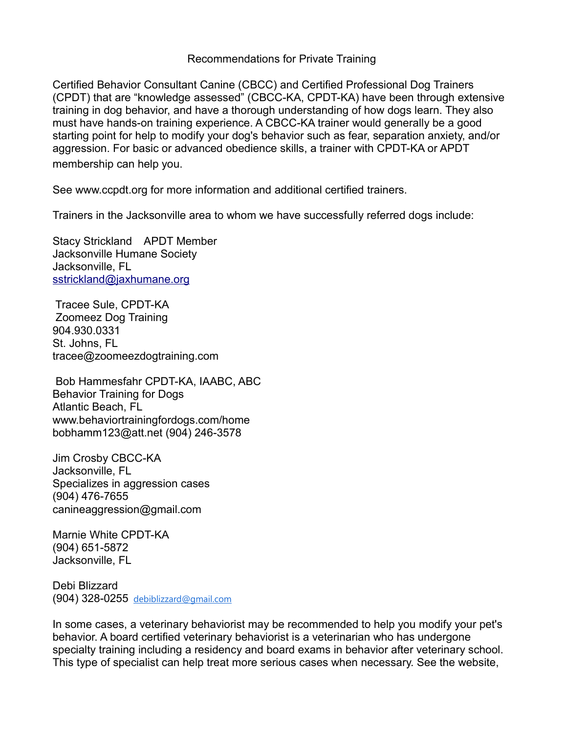Recommendations for Private Training

Certified Behavior Consultant Canine (CBCC) and Certified Professional Dog Trainers (CPDT) that are "knowledge assessed" (CBCC-KA, CPDT-KA) have been through extensive training in dog behavior, and have a thorough understanding of how dogs learn. They also must have hands-on training experience. A CBCC-KA trainer would generally be a good starting point for help to modify your dog's behavior such as fear, separation anxiety, and/or aggression. For basic or advanced obedience skills, a trainer with CPDT-KA or APDT membership can help you.

See www.ccpdt.org for more information and additional certified trainers.

Trainers in the Jacksonville area to whom we have successfully referred dogs include:

Stacy Strickland APDT Member Jacksonville Humane Society Jacksonville, FL [sstrickland@jaxhumane.org](mailto:sstrickland@jaxhumane.org)

 Tracee Sule, CPDT-KA Zoomeez Dog Training 904.930.0331 St. Johns, FL tracee@zoomeezdogtraining.com

 Bob Hammesfahr CPDT-KA, IAABC, ABC Behavior Training for Dogs Atlantic Beach, FL www.behaviortrainingfordogs.com/home bobhamm123@att.net (904) 246-3578

Jim Crosby CBCC-KA Jacksonville, FL Specializes in aggression cases (904) 476-7655 canineaggression@gmail.com

Marnie White CPDT-KA (904) 651-5872 Jacksonville, FL

Debi Blizzard (904) 328-0255 [debiblizzard@gmail.com](mailto:debiblizzard@gmail.com)

In some cases, a veterinary behaviorist may be recommended to help you modify your pet's behavior. A board certified veterinary behaviorist is a veterinarian who has undergone specialty training including a residency and board exams in behavior after veterinary school. This type of specialist can help treat more serious cases when necessary. See the website,